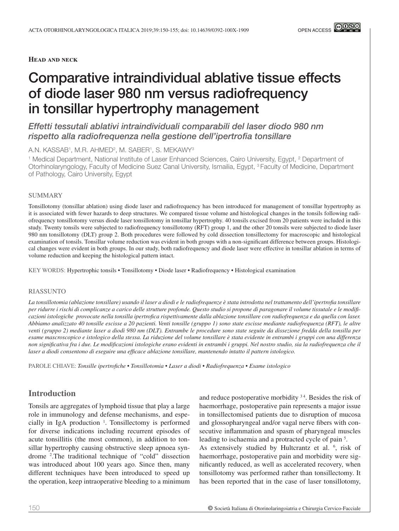**Head and neck**

# Comparative intraindividual ablative tissue effects of diode laser 980 nm versus radiofrequency in tonsillar hypertrophy management

*Effetti tessutali ablativi intraindividuali comparabili del laser diodo 980 nm rispetto alla radiofrequenza nella gestione dell'ipertrofia tonsillare*

A.N. KASSAB1, M.R. AHMED2, M. SABER1, S. MEKAWY3

<sup>1</sup> Medical Department, National Institute of Laser Enhanced Sciences, Cairo University, Egypt, <sup>2</sup> Department of Otorhinolaryngology, Faculty of Medicine Suez Canal University, Ismailia, Egypt, 3 Faculty of Medicine, Department of Pathology, Cairo University, Egypt

#### SUMMARY

Tonsillotomy (tonsillar ablation) using diode laser and radiofrequency has been introduced for management of tonsillar hypertrophy as it is associated with fewer hazards to deep structures. We compared tissue volume and histological changes in the tonsils following radiofrequency tonsillotomy versus diode laser tonsillotomy in tonsillar hypertrophy. 40 tonsils excised from 20 patients were included in this study. Twenty tonsils were subjected to radiofrequency tonsillotomy (RFT) group 1, and the other 20 tonsils were subjected to diode laser 980 nm tonsillotomy (DLT) group 2. Both procedures were followed by cold dissection tonsillectomy for macroscopic and histological examination of tonsils. Tonsillar volume reduction was evident in both groups with a non-significant difference between groups. Histological changes were evident in both groups. In our study, both radiofrequency and diode laser were effective in tonsillar ablation in terms of volume reduction and keeping the histological pattern intact.

KEY WORDS: Hypertrophic tonsils • Tonsillotomy • Diode laser • Radiofrequency • Histological examination

#### RIASSUNTO

*La tonsillotomia (ablazione tonsillare) usando il laser a diodi e le radiofrequenze è stata introdotta nel trattamento dell'ipertrofia tonsillare per ridurre i rischi di complicanze a carico delle strutture profonde. Questo studio si propone di paragonare il volume tissutale e le modificazioni istologiche provocate nella tonsilla ipertrofica rispettivamente dalla ablazione tonsillare con radiofrequenza e da quella con laser. Abbiamo analizzato 40 tonsille escisse a 20 pazienti. Venti tonsille (gruppo 1) sono state escisse mediante radiofrequenza (RFT), le altre venti (gruppo 2) mediante laser a diodi 980 nm (DLT). Entrambe le procedure sono state seguite da dissezione fredda della tonsilla per esame mascroscopico e istologico della stessa. La riduzione del volume tonsillare è stata evidente in entrambi i gruppi con una differenza non significativa fra i due. Le modificazioni istologiche erano evidenti in entrambi i gruppi. Nel nostro studio, sia la radiofrequenza che il laser a diodi consentono di eseguire una efficace ablazione tonsillare, mantenendo intatto il pattern istologico.* 

PAROLE CHIAVE: *Tonsille ipertrofiche • Tonsillotomia • Laser a diodi • Radiofrequenza • Esame istologico*

# **Introduction**

Tonsils are aggregates of lymphoid tissue that play a large role in immunology and defense mechanisms, and especially in IgA production  $\frac{1}{1}$ . Tonsillectomy is performed for diverse indications including recurrent episodes of acute tonsillitis (the most common), in addition to tonsillar hypertrophy causing obstructive sleep apnoea syndrome <sup>2</sup>. The traditional technique of "cold" dissection was introduced about 100 years ago. Since then, many different techniques have been introduced to speed up the operation, keep intraoperative bleeding to a minimum

and reduce postoperative morbidity  $34$ . Besides the risk of haemorrhage, postoperative pain represents a major issue in tonsillectomised patients due to disruption of mucosa and glossopharyngeal and/or vagal nerve fibers with consecutive inflammation and spasm of pharyngeal muscles leading to ischaemia and a protracted cycle of pain<sup>5</sup>. As extensively studied by Hultcrantz et al. <sup>6</sup>, risk of haemorrhage, postoperative pain and morbidity were significantly reduced, as well as accelerated recovery, when tonsillotomy was performed rather than tonsillectomy. It has been reported that in the case of laser tonsillotomy,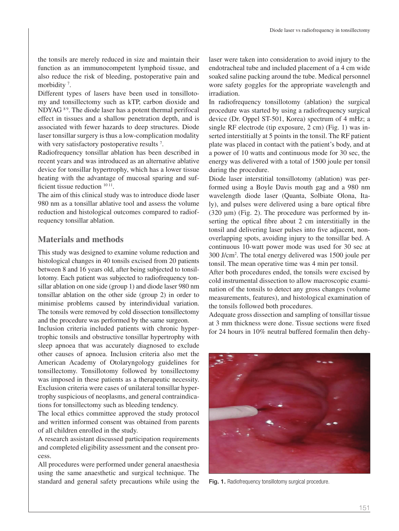the tonsils are merely reduced in size and maintain their function as an immunocompetent lymphoid tissue, and also reduce the risk of bleeding, postoperative pain and morbidity<sup>7</sup>.

Different types of lasers have been used in tonsillotomy and tonsillectomy such as kTP, carbon dioxide and NDYAG <sup>89</sup>. The diode laser has a potent thermal perifocal effect in tissues and a shallow penetration depth, and is associated with fewer hazards to deep structures. Diode laser tonsillar surgery is thus a low-complication modality with very satisfactory postoperative results<sup>7</sup>.

Radiofrequency tonsillar ablation has been described in recent years and was introduced as an alternative ablative device for tonsillar hypertrophy, which has a lower tissue heating with the advantage of mucosal sparing and sufficient tissue reduction  $1011$ .

The aim of this clinical study was to introduce diode laser 980 nm as a tonsillar ablative tool and assess the volume reduction and histological outcomes compared to radiofrequency tonsillar ablation.

## **Materials and methods**

This study was designed to examine volume reduction and histological changes in 40 tonsils excised from 20 patients between 8 and 16 years old, after being subjected to tonsillotomy. Each patient was subjected to radiofrequency tonsillar ablation on one side (group 1) and diode laser 980 nm tonsillar ablation on the other side (group 2) in order to minimise problems caused by interindividual variation. The tonsils were removed by cold dissection tonsillectomy and the procedure was performed by the same surgeon.

Inclusion criteria included patients with chronic hypertrophic tonsils and obstructive tonsillar hypertrophy with sleep apnoea that was accurately diagnosed to exclude other causes of apnoea. Inclusion criteria also met the American Academy of Otolaryngology guidelines for tonsillectomy. Tonsillotomy followed by tonsillectomy was imposed in these patients as a therapeutic necessity. Exclusion criteria were cases of unilateral tonsillar hypertrophy suspicious of neoplasms, and general contraindications for tonsillectomy such as bleeding tendency.

The local ethics committee approved the study protocol and written informed consent was obtained from parents of all children enrolled in the study.

A research assistant discussed participation requirements and completed eligibility assessment and the consent process.

All procedures were performed under general anaesthesia using the same anaesthetic and surgical technique. The standard and general safety precautions while using the

laser were taken into consideration to avoid injury to the endotracheal tube and included placement of a 4 cm wide soaked saline packing around the tube. Medical personnel wore safety goggles for the appropriate wavelength and irradiation.

In radiofrequency tonsillotomy (ablation) the surgical procedure was started by using a radiofrequency surgical device (Dr. Oppel ST-501, Korea) spectrum of 4 mHz; a single RF electrode (tip exposure, 2 cm) (Fig. 1) was inserted interstitially at 5 points in the tonsil. The RF patient plate was placed in contact with the patient's body, and at a power of 10 watts and continuous mode for 30 sec, the energy was delivered with a total of 1500 joule per tonsil during the procedure.

Diode laser interstitial tonsillotomy (ablation) was performed using a Boyle Davis mouth gag and a 980 nm wavelength diode laser (Quanta, Solbiate Olona, Italy), and pulses were delivered using a bare optical fibre  $(320 \mu m)$  (Fig. 2). The procedure was performed by inserting the optical fibre about 2 cm interstitially in the tonsil and delivering laser pulses into five adjacent, nonoverlapping spots, avoiding injury to the tonsillar bed. A continuous 10-watt power mode was used for 30 sec at 300 J/cm2 . The total energy delivered was 1500 joule per tonsil. The mean operative time was 4 min per tonsil.

After both procedures ended, the tonsils were excised by cold instrumental dissection to allow macroscopic examination of the tonsils to detect any gross changes (volume measurements, features), and histological examination of the tonsils followed both procedures.

Adequate gross dissection and sampling of tonsillar tissue at 3 mm thickness were done. Tissue sections were fixed for 24 hours in 10% neutral buffered formalin then dehy-



Fig. 1. Radiofrequency tonsillotomy surgical procedure.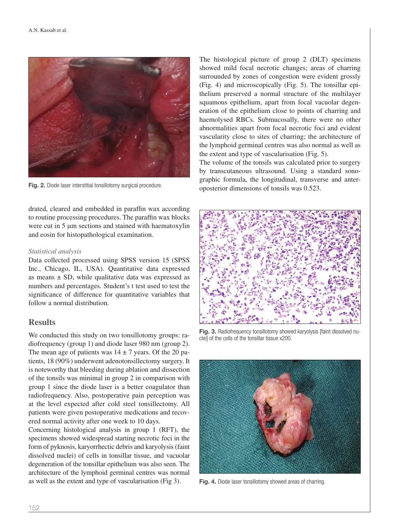

drated, cleared and embedded in paraffin wax according to routine processing procedures. The paraffin wax blocks were cut in 5  $\mu$ m sections and stained with haematoxylin and eosin for histopathological examination.

#### *Statistical analysis*

Data collected processed using SPSS version 15 (SPSS Inc., Chicago, IL, USA). Quantitative data expressed as means  $\pm$  SD, while qualitative data was expressed as numbers and percentages. Student's t test used to test the significance of difference for quantitative variables that follow a normal distribution.

## **Results**

We conducted this study on two tonsillotomy groups: radiofrequency (group 1) and diode laser 980 nm (group 2). The mean age of patients was  $14 \pm 7$  years. Of the 20 patients, 18 (90%) underwent adenotonsillectomy surgery. It is noteworthy that bleeding during ablation and dissection of the tonsils was minimal in group 2 in comparison with group 1 since the diode laser is a better coagulator than radiofrequency. Also, postoperative pain perception was at the level expected after cold steel tonsillectomy. All patients were given postoperative medications and recovered normal activity after one week to 10 days.

Concerning histological analysis in group 1 (RFT), the specimens showed widespread starting necrotic foci in the form of pyknosis, karyorrhectic debris and karyolysis (faint dissolved nuclei) of cells in tonsillar tissue, and vacuolar degeneration of the tonsillar epithelium was also seen. The architecture of the lymphoid germinal centres was normal as well as the extent and type of vascularisation (Fig 3).

The histological picture of group 2 (DLT) specimens showed mild focal necrotic changes; areas of charring surrounded by zones of congestion were evident grossly (Fig. 4) and microscopically (Fig. 5). The tonsillar epithelium preserved a normal structure of the multilayer squamous epithelium, apart from focal vacuolar degeneration of the epithelium close to points of charring and haemolysed RBCs. Submucosally, there were no other abnormalities apart from focal necrotic foci and evident vascularity close to sites of charring; the architecture of the lymphoid germinal centres was also normal as well as the extent and type of vascularisation (Fig. 5).

The volume of the tonsils was calculated prior to surgery by transcutaneous ultrasound. Using a standard sonographic formula, the longitudinal, transverse and anter-Fig. 2. Diode laser interstitial tonsillotomy surgical procedure. oposterior dimensions of tonsils was 0.523.



Fig. 3. Radiofrequency tonsillotomy showed karyolysis [faint dissolved nuclei] of the cells of the tonsillar tissue x200.



Fig. 4. Diode laser tonsillotomy showed areas of charring.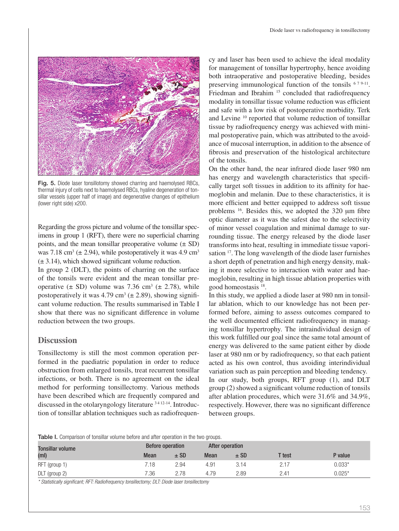

Fig. 5. Diode laser tonsillotomy showed charring and haemolysed RBCs. thermal injury of cells next to haemolysed RBCs, hyaline degeneration of tonsillar vessels (upper half of image) and degenerative changes of epithelium (lower right side) x200.

Regarding the gross picture and volume of the tonsillar specimens in group 1 (RFT), there were no superficial charring points, and the mean tonsillar preoperative volume  $(\pm SD)$ was 7.18 cm<sup>3</sup> ( $\pm$  2.94), while postoperatively it was 4.9 cm<sup>3</sup>  $(\pm 3.14)$ , which showed significant volume reduction.

In group 2 (DLT), the points of charring on the surface of the tonsils were evident and the mean tonsillar preoperative  $(\pm SD)$  volume was 7.36 cm<sup>3</sup>  $(\pm 2.78)$ , while postoperatively it was  $4.79 \text{ cm}^3$  ( $\pm 2.89$ ), showing significant volume reduction. The results summarised in Table I show that there was no significant difference in volume reduction between the two groups.

## **Discussion**

Tonsillectomy is still the most common operation performed in the paediatric population in order to reduce obstruction from enlarged tonsils, treat recurrent tonsillar infections, or both. There is no agreement on the ideal method for performing tonsillectomy. Various methods have been described which are frequently compared and discussed in the otolaryngology literature  $3412-14$ . Introduction of tonsillar ablation techniques such as radiofrequency and laser has been used to achieve the ideal modality for management of tonsillar hypertrophy, hence avoiding both intraoperative and postoperative bleeding, besides preserving immunological function of the tonsils  $679-11$ . Friedman and Ibrahim <sup>15</sup> concluded that radiofrequency modality in tonsillar tissue volume reduction was efficient and safe with a low risk of postoperative morbidity. Terk and Levine 10 reported that volume reduction of tonsillar tissue by radiofrequency energy was achieved with minimal postoperative pain, which was attributed to the avoidance of mucosal interruption, in addition to the absence of fibrosis and preservation of the histological architecture of the tonsils.

On the other hand, the near infrared diode laser 980 nm has energy and wavelength characteristics that specifically target soft tissues in addition to its affinity for haemoglobin and melanin. Due to these characteristics, it is more efficient and better equipped to address soft tissue problems  $^{16}$ . Besides this, we adopted the 320  $\mu$ m fibre optic diameter as it was the safest due to the selectivity of minor vessel coagulation and minimal damage to surrounding tissue. The energy released by the diode laser transforms into heat, resulting in immediate tissue vaporisation 17. The long wavelength of the diode laser furnishes a short depth of penetration and high energy density, making it more selective to interaction with water and haemoglobin, resulting in high tissue ablation properties with good homeostasis 18.

In this study, we applied a diode laser at 980 nm in tonsillar ablation, which to our knowledge has not been performed before, aiming to assess outcomes compared to the well documented efficient radiofrequency in managing tonsillar hypertrophy. The intraindividual design of this work fulfilled our goal since the same total amount of energy was delivered to the same patient either by diode laser at 980 nm or by radiofrequency, so that each patient acted as his own control, thus avoiding interindividual variation such as pain perception and bleeding tendency. In our study, both groups, RFT group (1), and DLT group (2) showed a significant volume reduction of tonsils after ablation procedures, which were 31.6% and 34.9%, respectively. However, there was no significant difference

Table I. Comparison of tonsillar volume before and after operation in the two groups.

| <b>Tonsillar volume</b><br>(m <sub>l</sub> ) | Before operation |        | After operation |        |        |          |
|----------------------------------------------|------------------|--------|-----------------|--------|--------|----------|
|                                              | <b>Mean</b>      | $±$ SD | <b>Mean</b>     | $±$ SD | T test | P value  |
| RFT (group 1)                                | 7.18             | 2.94   | 4.91            | 3.14   | 2.17   | $0.033*$ |
| DLT (group 2)                                | $^{\prime}.36$   | 2.78   | 4.79            | 2.89   | 2.41   | $0.025*$ |

between groups.

*\* Statistically significant; RFT: Radiofrequency tonsillectomy; DLT: Diode laser tonsillectomy*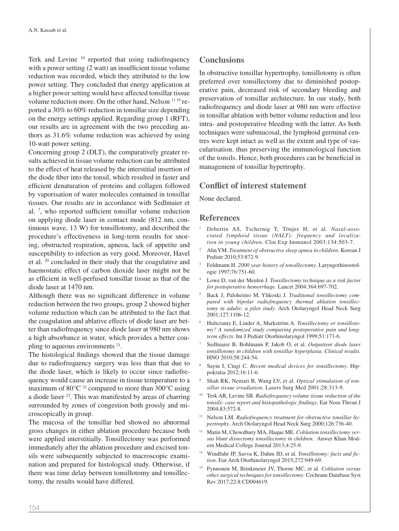Terk and Levine <sup>10</sup> reported that using radiofrequency with a power setting (2 watt) an insufficient tissue volume reduction was recorded, which they attributed to the low power setting. They concluded that energy application at a higher power setting would have affected tonsillar tissue volume reduction more. On the other hand, Nelson 11 19 reported a 30% to 60% reduction in tonsillar size depending on the energy settings applied. Regarding group 1 (RFT), our results are in agreement with the two preceding authors as 31.6% volume reduction was achieved by using 10-watt power setting.

Concerning group 2 (DLT), the comparatively greater results achieved in tissue volume reduction can be attributed to the effect of heat released by the interstitial insertion of the diode fiber into the tonsil, which resulted in faster and efficient denaturation of proteins and collagen followed by vaporisation of water molecules contained in tonsillar tissues. Our results are in accordance with Sedlmaier et al.<sup>7</sup>, who reported sufficient tonsillar volume reduction on applying diode laser in contact mode (812 nm, continuous wave, 13 W) for tonsillotomy, and described the procedure's effectiveness in long-term results for snoring, obstructed respiration, apneoa, lack of appetite and susceptibility to infection as very good. Moreover, Havel et al. 20 concluded in their study that the coagulative and haemostatic effect of carbon dioxide laser might not be as efficient in well-perfused tonsillar tissue as that of the diode laser at 1470 nm.

Although there was no significant difference in volume reduction between the two groups, group 2 showed higher volume reduction which can be attributed to the fact that the coagulation and ablative effects of diode laser are better than radiofrequency since diode laser at 980 nm shows a high absorbance in water, which provides a better coupling to aqueous environments 21.

The histological findings showed that the tissue damage due to radiofrequency surgery was less than that due to the diode laser, which is likely to occur since radiofrequency would cause an increase in tissue temperature to a maximum of  $80^{\circ}$ C <sup>22</sup> compared to more than  $300^{\circ}$ C using a diode laser 23. This was manifested by areas of charring surrounded by zones of congestion both grossly and microscopically in group.

The mucosa of the tonsillar bed showed no abnormal gross changes in either ablation procedure because both were applied interstitially. Tonsillectomy was performed immediately after the ablation procedure and excised tonsils were subsequently subjected to macroscopic examination and prepared for histological study. Otherwise, if there was time delay between tonsillotomy and tonsillectomy, the results would have differed.

## **Conclusions**

In obstructive tonsillar hypertrophy, tonsillotomy is often preferred over tonsillectomy due to diminished postoperative pain, decreased risk of secondary bleeding and preservation of tonsillar architecture. In our study, both radiofrequency and diode laser at 980 nm were effective in tonsillar ablation with better volume reduction and less intra- and postoperative bleeding with the latter. As both techniques were submucosal, the lymphoid germinal centres were kept intact as well as the extent and type of vascularisation. thus preserving the immunological function of the tonsils. Hence, both procedures can be beneficial in management of tonsillar hypertrophy.

### **Conflict of interest statement**

None declared.

#### **References**

- <sup>1</sup> Debertin AS, Tschernig T, Tönjes H, et al*. Nasal-associated lymphoid tissue (NALT): frequency and localization in young children*. Clin Exp Immunol 2003;134:503-7.
- <sup>2</sup> Ahn YM*. Treatment of obstructive sleep apnea in children*. Korean J Pediatr 2010;53:872-9.
- <sup>3</sup> Feldmann H*. 2000 year history of tonsillectomy*. Laryngorhinootologie 1997;76:751-60.
- <sup>4</sup> Lowe D, van der Meulen J*. Tonsillectomy technique as a risk factor for postoperative hemorrhage*. Lancet 2004:364:697-702.
- <sup>5</sup> Back J, Paloheimo M, Ylikoski J*. Traditional tonsillectomy compared with bipolar radiofrequency thermal ablation tonsillectomy in adults: a pilot study*. Arch Otolaryngol Head Neck Surg 2001;127:1106-12.
- <sup>6</sup> Hultcrantz E, Linder A, Markström A*. Tonsillectomy or tonsillotomy? A randomized study comparing postoperative pain and longterm effects*. Int J Pediatr Otorhinolaryngol 1999;51:171-6.
- <sup>7</sup> Sedlmaier B, Bohlmann P, Jakob O, et al*. Outpatient diode laser tonsillotomy in children with tonsillar hyperplasia*. *Clinical results.* HNO 2010;58:244-54.
- <sup>8</sup> Sayin I, Cingi C*. Recent medical devices for tonsillectomy*. Hippokratia 2012;16:11-6.
- Shah RK, Nemati B, Wang LV, et al. Optical stimulation of ton*sillar tissue irradiation*. Lasers Surg Med 2001;28:313-9.
- <sup>10</sup> Terk AR, Levine SB*. Radiofrequency volume tissue reduction of the tonsils: case report and histopathologic findings*. Ear Nose Throat J  $2004.83.572 - 8$
- Nelson LM. Radiofrequency treatment for obstructive tonsillar hy*pertrophy*. Arch Otolaryngol Head Neck Surg 2000;126:736-40.
- <sup>12</sup> Matin M, Chowdhury MA, Haque ME*. Coblation tonsillectomy versus blunt dissectomy tonsillectomy in children*. Anwer Khan Modern Medical College Journal 2013;4:25-9.
- <sup>13</sup> Windfuhr JP, Savva K, Dahm JD, et al*. Tonsillotomy: facts and fiction*. Eur Arch Otorhinolaryngol 2015;272:949-69.
- <sup>14</sup> Pynnonen M, Brinkmeier JV, Thorne MC, et al*. Coblation versus other surgical techniques for tonsillectomy*. Cochrane Database Syst Rev 2017;22:8:CD004619.